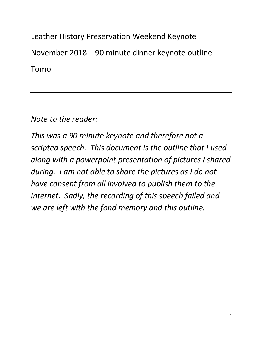Leather History Preservation Weekend Keynote November 2018 – 90 minute dinner keynote outline Tomo

Note to the reader:

This was a 90 minute keynote and therefore not a scripted speech. This document is the outline that I used along with a powerpoint presentation of pictures I shared during. I am not able to share the pictures as I do not have consent from all involved to publish them to the internet. Sadly, the recording of this speech failed and we are left with the fond memory and this outline.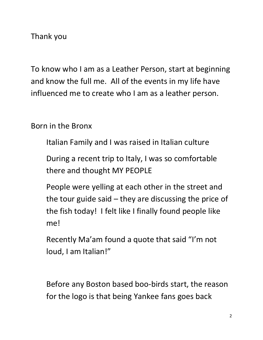Thank you

To know who I am as a Leather Person, start at beginning and know the full me. All of the events in my life have influenced me to create who I am as a leather person.

Born in the Bronx

Italian Family and I was raised in Italian culture

During a recent trip to Italy, I was so comfortable there and thought MY PEOPLE

People were yelling at each other in the street and the tour guide said  $-$  they are discussing the price of the fish today! I felt like I finally found people like me!

Recently Ma'am found a quote that said "I'm not loud, I am Italian!"

Before any Boston based boo-birds start, the reason for the logo is that being Yankee fans goes back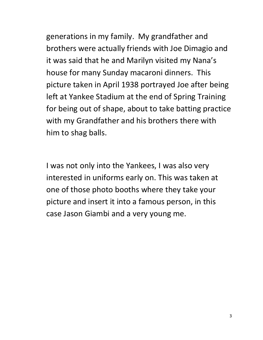generations in my family. My grandfather and brothers were actually friends with Joe Dimagio and it was said that he and Marilyn visited my Nana's house for many Sunday macaroni dinners. This picture taken in April 1938 portrayed Joe after being left at Yankee Stadium at the end of Spring Training for being out of shape, about to take batting practice with my Grandfather and his brothers there with him to shag balls.

I was not only into the Yankees, I was also very interested in uniforms early on. This was taken at one of those photo booths where they take your picture and insert it into a famous person, in this case Jason Giambi and a very young me.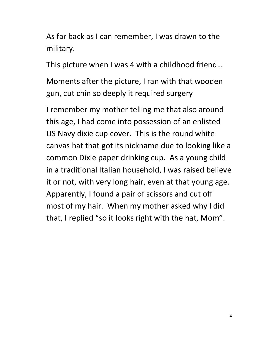As far back as I can remember, I was drawn to the military.

This picture when I was 4 with a childhood friend…

Moments after the picture, I ran with that wooden gun, cut chin so deeply it required surgery

I remember my mother telling me that also around this age, I had come into possession of an enlisted US Navy dixie cup cover. This is the round white canvas hat that got its nickname due to looking like a common Dixie paper drinking cup. As a young child in a traditional Italian household, I was raised believe it or not, with very long hair, even at that young age. Apparently, I found a pair of scissors and cut off most of my hair. When my mother asked why I did that, I replied "so it looks right with the hat, Mom".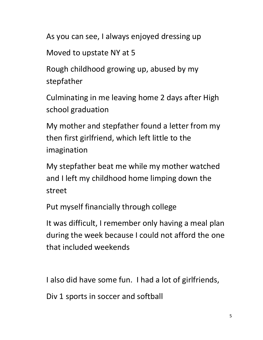As you can see, I always enjoyed dressing up

Moved to upstate NY at 5

Rough childhood growing up, abused by my stepfather

Culminating in me leaving home 2 days after High school graduation

My mother and stepfather found a letter from my then first girlfriend, which left little to the imagination

My stepfather beat me while my mother watched and I left my childhood home limping down the street

Put myself financially through college

It was difficult, I remember only having a meal plan during the week because I could not afford the one that included weekends

I also did have some fun. I had a lot of girlfriends,

Div 1 sports in soccer and softball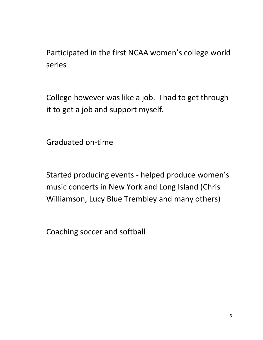Participated in the first NCAA women's college world series

College however was like a job. I had to get through it to get a job and support myself.

Graduated on-time

Started producing events - helped produce women's music concerts in New York and Long Island (Chris Williamson, Lucy Blue Trembley and many others)

Coaching soccer and softball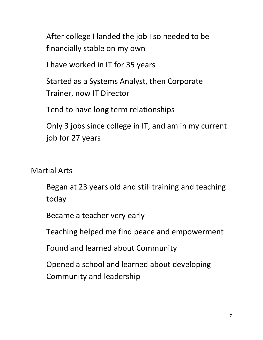After college I landed the job I so needed to be financially stable on my own

I have worked in IT for 35 years

Started as a Systems Analyst, then Corporate Trainer, now IT Director

Tend to have long term relationships

Only 3 jobs since college in IT, and am in my current job for 27 years

Martial Arts

Began at 23 years old and still training and teaching today

Became a teacher very early

Teaching helped me find peace and empowerment

Found and learned about Community

Opened a school and learned about developing Community and leadership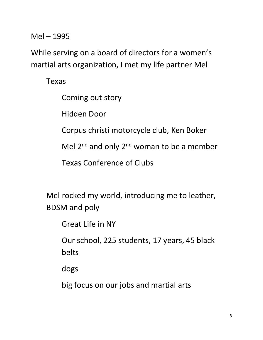Mel – 1995

While serving on a board of directors for a women's martial arts organization, I met my life partner Mel

Texas

Coming out story

Hidden Door

Corpus christi motorcycle club, Ken Boker

Mel  $2^{nd}$  and only  $2^{nd}$  woman to be a member

Texas Conference of Clubs

Mel rocked my world, introducing me to leather, BDSM and poly

Great Life in NY

Our school, 225 students, 17 years, 45 black belts

dogs

big focus on our jobs and martial arts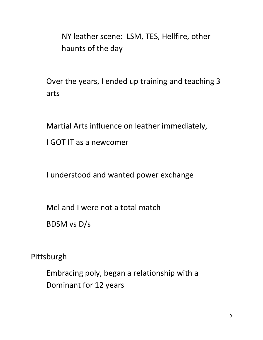NY leather scene: LSM, TES, Hellfire, other haunts of the day

Over the years, I ended up training and teaching 3 arts

Martial Arts influence on leather immediately,

I GOT IT as a newcomer

I understood and wanted power exchange

Mel and I were not a total match

BDSM vs D/s

Pittsburgh

Embracing poly, began a relationship with a Dominant for 12 years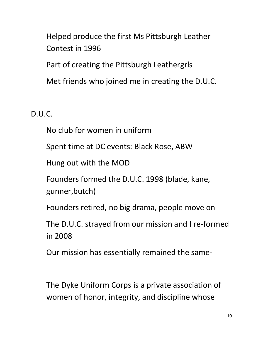Helped produce the first Ms Pittsburgh Leather Contest in 1996

Part of creating the Pittsburgh Leathergrls

Met friends who joined me in creating the D.U.C.

D.U.C.

No club for women in uniform

Spent time at DC events: Black Rose, ABW

Hung out with the MOD

Founders formed the D.U.C. 1998 (blade, kane, gunner,butch)

Founders retired, no big drama, people move on

The D.U.C. strayed from our mission and I re-formed in 2008

Our mission has essentially remained the same-

The Dyke Uniform Corps is a private association of women of honor, integrity, and discipline whose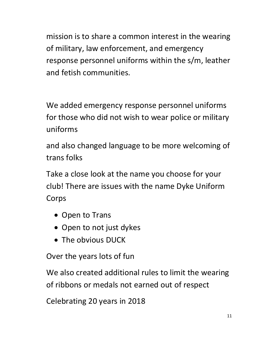mission is to share a common interest in the wearing of military, law enforcement, and emergency response personnel uniforms within the s/m, leather and fetish communities.

We added emergency response personnel uniforms for those who did not wish to wear police or military uniforms

and also changed language to be more welcoming of trans folks

Take a close look at the name you choose for your club! There are issues with the name Dyke Uniform Corps

- Open to Trans
- Open to not just dykes
- The obvious DUCK

Over the years lots of fun

We also created additional rules to limit the wearing of ribbons or medals not earned out of respect

Celebrating 20 years in 2018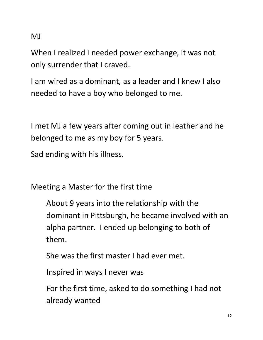MJ

When I realized I needed power exchange, it was not only surrender that I craved.

I am wired as a dominant, as a leader and I knew I also needed to have a boy who belonged to me.

I met MJ a few years after coming out in leather and he belonged to me as my boy for 5 years.

Sad ending with his illness.

Meeting a Master for the first time

About 9 years into the relationship with the dominant in Pittsburgh, he became involved with an alpha partner. I ended up belonging to both of them.

She was the first master I had ever met.

Inspired in ways I never was

For the first time, asked to do something I had not already wanted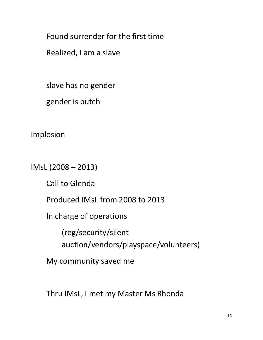Found surrender for the first time

Realized, I am a slave

slave has no gender

gender is butch

Implosion

IMsL (2008 – 2013)

Call to Glenda

Produced IMsL from 2008 to 2013

In charge of operations

(reg/security/silent auction/vendors/playspace/volunteers)

My community saved me

Thru IMsL, I met my Master Ms Rhonda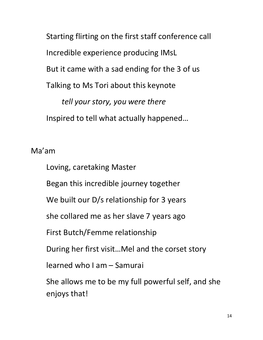Starting flirting on the first staff conference call Incredible experience producing IMsL But it came with a sad ending for the 3 of us Talking to Ms Tori about this keynote tell your story, you were there Inspired to tell what actually happened…

## Ma'am

Loving, caretaking Master

Began this incredible journey together

We built our D/s relationship for 3 years

she collared me as her slave 7 years ago

First Butch/Femme relationship

During her first visit…Mel and the corset story

learned who I am – Samurai

She allows me to be my full powerful self, and she enjoys that!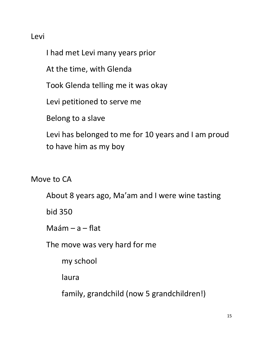## Levi

I had met Levi many years prior

At the time, with Glenda

Took Glenda telling me it was okay

Levi petitioned to serve me

Belong to a slave

Levi has belonged to me for 10 years and I am proud to have him as my boy

Move to CA

About 8 years ago, Ma'am and I were wine tasting

bid 350

 $M$ aám – a – flat

The move was very hard for me

my school

laura

family, grandchild (now 5 grandchildren!)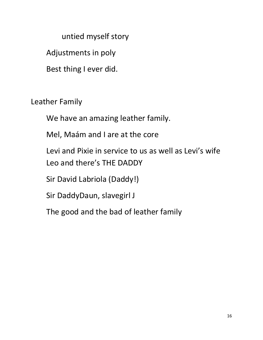untied myself story

Adjustments in poly

Best thing I ever did.

Leather Family

We have an amazing leather family.

Mel, Maám and I are at the core

Levi and Pixie in service to us as well as Levi's wife Leo and there's THE DADDY

Sir David Labriola (Daddy!)

Sir DaddyDaun, slavegirl J

The good and the bad of leather family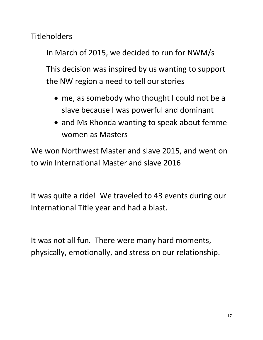**Titleholders** 

In March of 2015, we decided to run for NWM/s

This decision was inspired by us wanting to support the NW region a need to tell our stories

- me, as somebody who thought I could not be a slave because I was powerful and dominant
- and Ms Rhonda wanting to speak about femme women as Masters

We won Northwest Master and slave 2015, and went on to win International Master and slave 2016

It was quite a ride! We traveled to 43 events during our International Title year and had a blast.

It was not all fun. There were many hard moments, physically, emotionally, and stress on our relationship.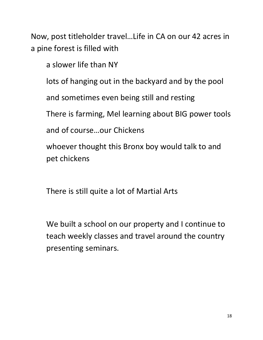Now, post titleholder travel…Life in CA on our 42 acres in a pine forest is filled with

a slower life than NY

lots of hanging out in the backyard and by the pool

and sometimes even being still and resting

There is farming, Mel learning about BIG power tools

and of course…our Chickens

whoever thought this Bronx boy would talk to and pet chickens

There is still quite a lot of Martial Arts

We built a school on our property and I continue to teach weekly classes and travel around the country presenting seminars.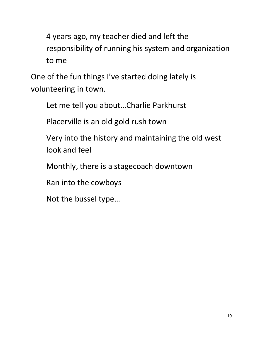4 years ago, my teacher died and left the responsibility of running his system and organization to me

One of the fun things I've started doing lately is volunteering in town.

Let me tell you about…Charlie Parkhurst

Placerville is an old gold rush town

Very into the history and maintaining the old west look and feel

Monthly, there is a stagecoach downtown

Ran into the cowboys

Not the bussel type…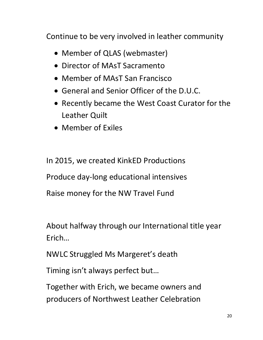Continue to be very involved in leather community

- Member of QLAS (webmaster)
- Director of MAsT Sacramento
- Member of MAsT San Francisco
- General and Senior Officer of the D.U.C.
- Recently became the West Coast Curator for the Leather Quilt
- Member of Exiles

In 2015, we created KinkED Productions Produce day-long educational intensives Raise money for the NW Travel Fund

About halfway through our International title year Erich…

NWLC Struggled Ms Margeret's death

Timing isn't always perfect but…

Together with Erich, we became owners and producers of Northwest Leather Celebration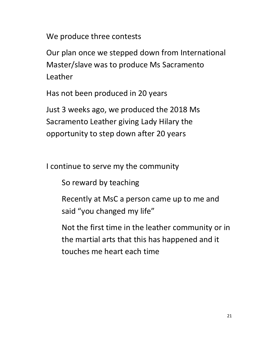We produce three contests

Our plan once we stepped down from International Master/slave was to produce Ms Sacramento Leather

Has not been produced in 20 years

Just 3 weeks ago, we produced the 2018 Ms Sacramento Leather giving Lady Hilary the opportunity to step down after 20 years

I continue to serve my the community

So reward by teaching

Recently at MsC a person came up to me and said "you changed my life"

Not the first time in the leather community or in the martial arts that this has happened and it touches me heart each time